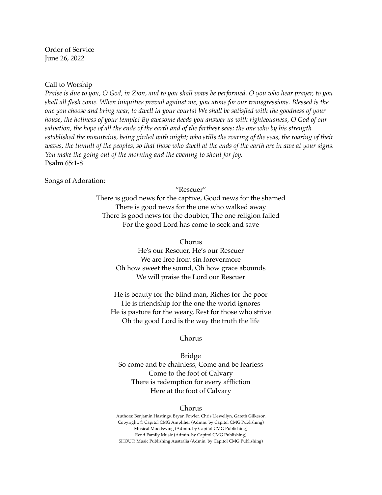Order of Service June 26, 2022

## Call to Worship

*Praise is due to you, O God, in Zion, and to you shall vows be performed. O you who hear prayer, to you shall all flesh come. When iniquities prevail against me, you atone for our transgressions. Blessed is the one you choose and bring near, to dwell in your courts! We shall be satisfied with the goodness of your house, the holiness of your temple! By awesome deeds you answer us with righteousness, O God of our salvation, the hope of all the ends of the earth and of the farthest seas; the one who by his strength established the mountains, being girded with might; who stills the roaring of the seas, the roaring of their waves, the tumult of the peoples, so that those who dwell at the ends of the earth are in awe at your signs. You make the going out of the morning and the evening to shout for joy.*  Psalm 65:1-8

#### Songs of Adoration:

"Rescuer"

There is good news for the captive, Good news for the shamed There is good news for the one who walked away There is good news for the doubter, The one religion failed For the good Lord has come to seek and save

### Chorus

He's our Rescuer, He's our Rescuer We are free from sin forevermore Oh how sweet the sound, Oh how grace abounds We will praise the Lord our Rescuer

He is beauty for the blind man, Riches for the poor He is friendship for the one the world ignores He is pasture for the weary, Rest for those who strive Oh the good Lord is the way the truth the life

## Chorus

Bridge So come and be chainless, Come and be fearless Come to the foot of Calvary There is redemption for every affliction Here at the foot of Calvary

#### Chorus

Authors: Benjamin Hastings, Bryan Fowler, Chris Llewellyn, Gareth Gilkeson Copyright: © Capitol CMG Amplifier (Admin. by Capitol CMG Publishing) Musical Moodswing (Admin. by Capitol CMG Publishing) Rend Family Music (Admin. by Capitol CMG Publishing) SHOUT! Music Publishing Australia (Admin. by Capitol CMG Publishing)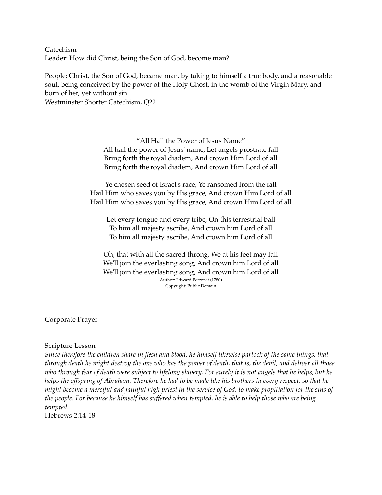Catechism Leader: How did Christ, being the Son of God, become man?

People: Christ, the Son of God, became man, by taking to himself a true body, and a reasonable soul, being conceived by the power of the Holy Ghost, in the womb of the Virgin Mary, and born of her, yet without sin.

Westminster Shorter Catechism, Q22

"All Hail the Power of Jesus Name" All hail the power of Jesus' name, Let angels prostrate fall Bring forth the royal diadem, And crown Him Lord of all Bring forth the royal diadem, And crown Him Lord of all

Ye chosen seed of Israel's race, Ye ransomed from the fall Hail Him who saves you by His grace, And crown Him Lord of all Hail Him who saves you by His grace, And crown Him Lord of all

Let every tongue and every tribe, On this terrestrial ball To him all majesty ascribe, And crown him Lord of all To him all majesty ascribe, And crown him Lord of all

Oh, that with all the sacred throng, We at his feet may fall We'll join the everlasting song, And crown him Lord of all We'll join the everlasting song, And crown him Lord of all Author: Edward Perronet (1780) Copyright: Public Domain

Corporate Prayer

## Scripture Lesson

*Since therefore the children share in flesh and blood, he himself likewise partook of the same things, that through death he might destroy the one who has the power of death, that is, the devil, and deliver all those*  who through fear of death were subject to lifelong slavery. For surely it is not angels that he helps, but he *helps the offspring of Abraham. Therefore he had to be made like his brothers in every respect, so that he might become a merciful and faithful high priest in the service of God, to make propitiation for the sins of the people. For because he himself has suffered when tempted, he is able to help those who are being tempted.* 

Hebrews 2:14-18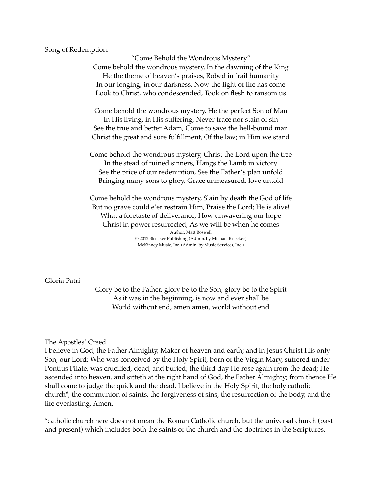Song of Redemption:

"Come Behold the Wondrous Mystery" Come behold the wondrous mystery, In the dawning of the King He the theme of heaven's praises, Robed in frail humanity In our longing, in our darkness, Now the light of life has come Look to Christ, who condescended, Took on flesh to ransom us

Come behold the wondrous mystery, He the perfect Son of Man In His living, in His suffering, Never trace nor stain of sin See the true and better Adam, Come to save the hell-bound man Christ the great and sure fulfillment, Of the law; in Him we stand

Come behold the wondrous mystery, Christ the Lord upon the tree In the stead of ruined sinners, Hangs the Lamb in victory See the price of our redemption, See the Father's plan unfold Bringing many sons to glory, Grace unmeasured, love untold

Come behold the wondrous mystery, Slain by death the God of life But no grave could e'er restrain Him, Praise the Lord; He is alive! What a foretaste of deliverance, How unwavering our hope Christ in power resurrected, As we will be when he comes Author: Matt Boswell © 2012 Bleecker Publishing (Admin. by Michael Bleecker)

McKinney Music, Inc. (Admin. by Music Services, Inc.)

## Gloria Patri

Glory be to the Father, glory be to the Son, glory be to the Spirit As it was in the beginning, is now and ever shall be World without end, amen amen, world without end

## The Apostles' Creed

I believe in God, the Father Almighty, Maker of heaven and earth; and in Jesus Christ His only Son, our Lord; Who was conceived by the Holy Spirit, born of the Virgin Mary, suffered under Pontius Pilate, was crucified, dead, and buried; the third day He rose again from the dead; He ascended into heaven, and sitteth at the right hand of God, the Father Almighty; from thence He shall come to judge the quick and the dead. I believe in the Holy Spirit, the holy catholic church\*, the communion of saints, the forgiveness of sins, the resurrection of the body, and the life everlasting. Amen.

\*catholic church here does not mean the Roman Catholic church, but the universal church (past and present) which includes both the saints of the church and the doctrines in the Scriptures.